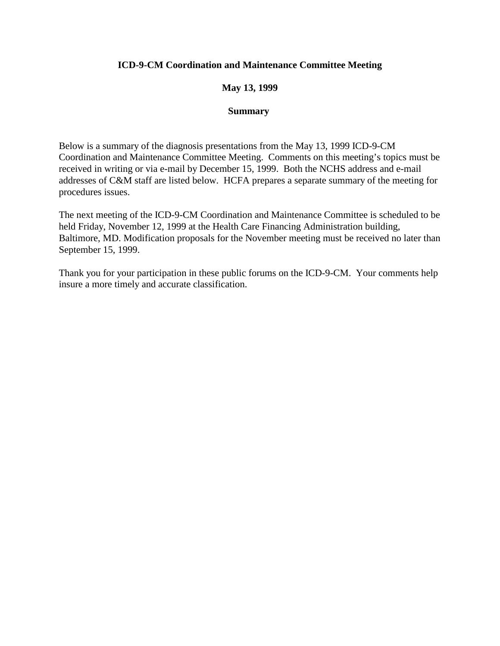## **ICD-9-CM Coordination and Maintenance Committee Meeting**

## **May 13, 1999**

#### **Summary**

Below is a summary of the diagnosis presentations from the May 13, 1999 ICD-9-CM Coordination and Maintenance Committee Meeting. Comments on this meeting's topics must be received in writing or via e-mail by December 15, 1999. Both the NCHS address and e-mail addresses of C&M staff are listed below. HCFA prepares a separate summary of the meeting for procedures issues.

The next meeting of the ICD-9-CM Coordination and Maintenance Committee is scheduled to be held Friday, November 12, 1999 at the Health Care Financing Administration building, Baltimore, MD. Modification proposals for the November meeting must be received no later than September 15, 1999.

Thank you for your participation in these public forums on the ICD-9-CM. Your comments help insure a more timely and accurate classification.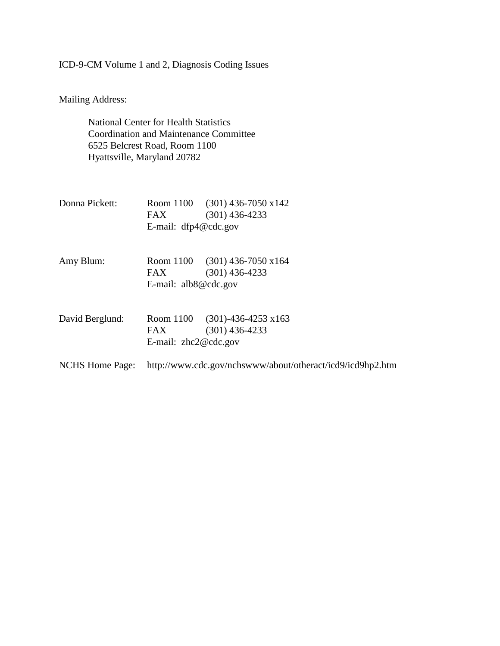# ICD-9-CM Volume 1 and 2, Diagnosis Coding Issues

Mailing Address:

National Center for Health Statistics Coordination and Maintenance Committee 6525 Belcrest Road, Room 1100 Hyattsville, Maryland 20782

| Donna Pickett:         | FAX<br>E-mail: $dfp4@cdc.gov$                              | Room 1100 $(301)$ 436-7050 x142<br>$(301)$ 436-4233 |
|------------------------|------------------------------------------------------------|-----------------------------------------------------|
|                        |                                                            |                                                     |
| Amy Blum:              |                                                            | Room $1100$ (301) 436-7050 x164                     |
|                        | FAX.                                                       | $(301)$ 436-4233                                    |
|                        | E-mail: $alb8@cdc.gov$                                     |                                                     |
| David Berglund:        |                                                            | Room 1100 (301)-436-4253 x163                       |
|                        | FAX                                                        | $(301)$ 436-4233                                    |
|                        | E-mail: $zhc2@cdc.gov$                                     |                                                     |
| <b>NCHS</b> Home Page: | http://www.cdc.gov/nchswww/about/otheract/icd9/icd9hp2.htm |                                                     |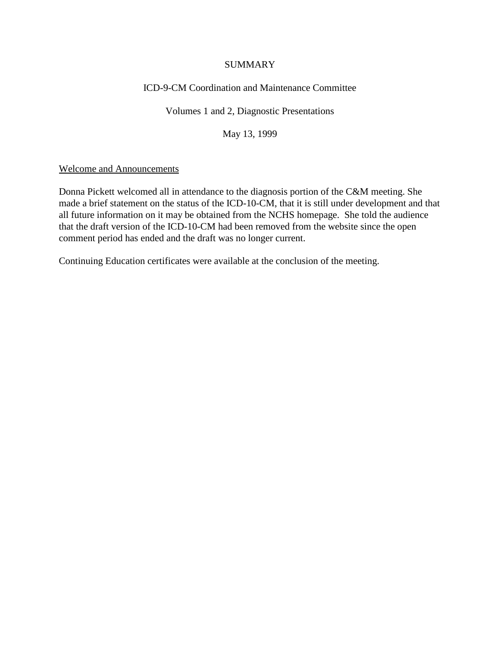### **SUMMARY**

## ICD-9-CM Coordination and Maintenance Committee

Volumes 1 and 2, Diagnostic Presentations

May 13, 1999

## Welcome and Announcements

Donna Pickett welcomed all in attendance to the diagnosis portion of the C&M meeting. She made a brief statement on the status of the ICD-10-CM, that it is still under development and that all future information on it may be obtained from the NCHS homepage. She told the audience that the draft version of the ICD-10-CM had been removed from the website since the open comment period has ended and the draft was no longer current.

Continuing Education certificates were available at the conclusion of the meeting.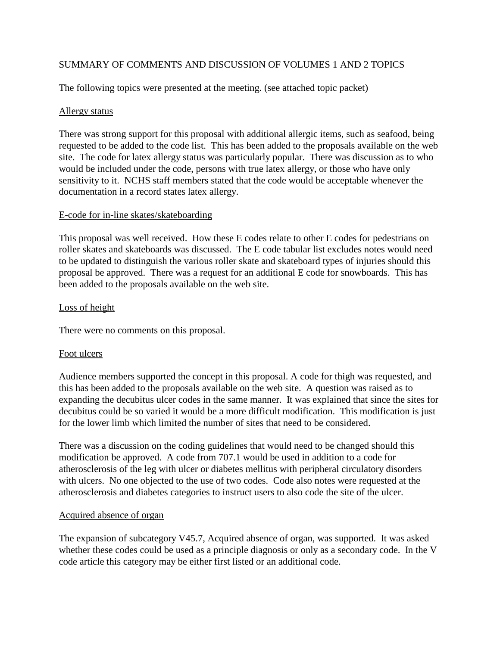## SUMMARY OF COMMENTS AND DISCUSSION OF VOLUMES 1 AND 2 TOPICS

The following topics were presented at the meeting. (see attached topic packet)

## Allergy status

There was strong support for this proposal with additional allergic items, such as seafood, being requested to be added to the code list. This has been added to the proposals available on the web site. The code for latex allergy status was particularly popular. There was discussion as to who would be included under the code, persons with true latex allergy, or those who have only sensitivity to it. NCHS staff members stated that the code would be acceptable whenever the documentation in a record states latex allergy.

## E-code for in-line skates/skateboarding

This proposal was well received. How these E codes relate to other E codes for pedestrians on roller skates and skateboards was discussed. The E code tabular list excludes notes would need to be updated to distinguish the various roller skate and skateboard types of injuries should this proposal be approved. There was a request for an additional E code for snowboards. This has been added to the proposals available on the web site.

## Loss of height

There were no comments on this proposal.

#### Foot ulcers

Audience members supported the concept in this proposal. A code for thigh was requested, and this has been added to the proposals available on the web site. A question was raised as to expanding the decubitus ulcer codes in the same manner. It was explained that since the sites for decubitus could be so varied it would be a more difficult modification. This modification is just for the lower limb which limited the number of sites that need to be considered.

There was a discussion on the coding guidelines that would need to be changed should this modification be approved. A code from 707.1 would be used in addition to a code for atherosclerosis of the leg with ulcer or diabetes mellitus with peripheral circulatory disorders with ulcers. No one objected to the use of two codes. Code also notes were requested at the atherosclerosis and diabetes categories to instruct users to also code the site of the ulcer.

#### Acquired absence of organ

The expansion of subcategory V45.7, Acquired absence of organ, was supported. It was asked whether these codes could be used as a principle diagnosis or only as a secondary code. In the V code article this category may be either first listed or an additional code.